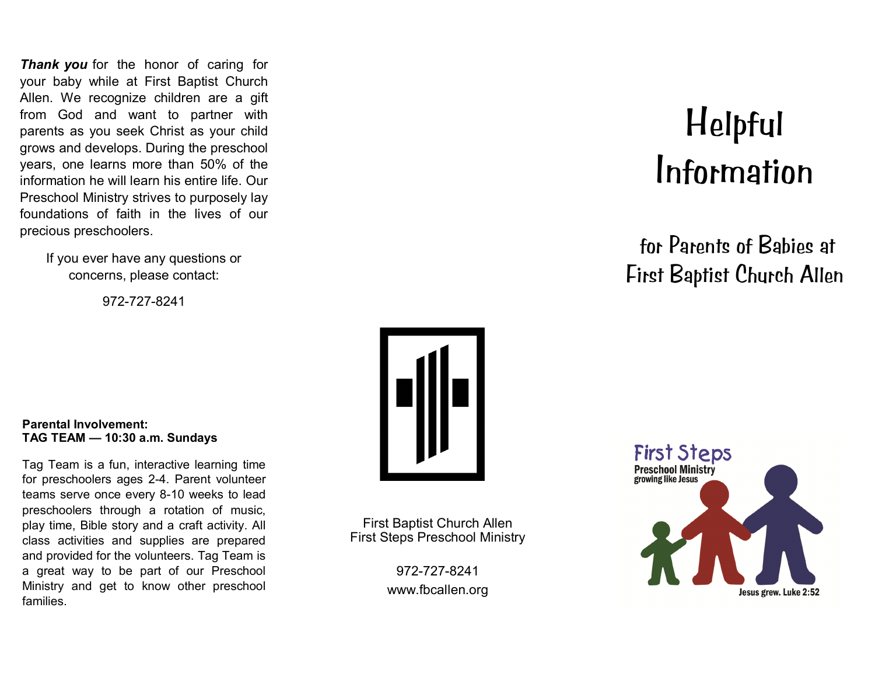**Thank you** for the honor of caring for your baby while at First Baptist Church Allen. We recognize children are a gift from God and want to partner with parents as you seek Christ as your child grows and develops. During the preschool years, one learns more than 50% of the information he will learn his entire life. Our Preschool Ministry strives to purposely lay foundations of faith in the lives of our precious preschoolers.

> If you ever have any questions or concerns, please contact:

> > 972-727-8241



First Baptist Church Allen First Steps Preschool Ministry

> 972-727-8241 www.fbcallen.org

# Helpful Information

for Parents of Babies at First Baptist Church Allen



#### **Parental Involvement: TAG TEAM — 10:30 a.m. Sundays**

Tag Team is a fun, interactive learning time for preschoolers ages 2-4. Parent volunteer teams serve once every 8-10 weeks to lead preschoolers through a rotation of music, play time, Bible story and a craft activity. All class activities and supplies are prepared and provided for the volunteers. Tag Team is a great way to be part of our Preschool Ministry and get to know other preschool families.